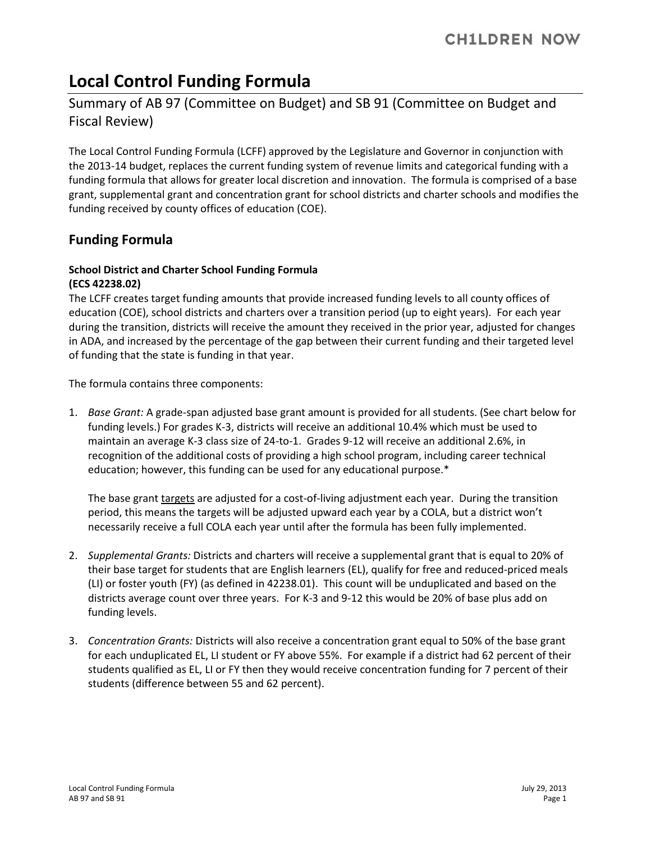# **Local Control Funding Formula**

# Summary of AB 97 (Committee on Budget) and SB 91 (Committee on Budget and Fiscal Review)

The Local Control Funding Formula (LCFF) approved by the Legislature and Governor in conjunction with the 2013-14 budget, replaces the current funding system of revenue limits and categorical funding with a funding formula that allows for greater local discretion and innovation. The formula is comprised of a base grant, supplemental grant and concentration grant for school districts and charter schools and modifies the funding received by county offices of education (COE).

# **Funding Formula**

## **School District and Charter School Funding Formula (ECS 42238.02)**

The LCFF creates target funding amounts that provide increased funding levels to all county offices of education (COE), school districts and charters over a transition period (up to eight years). For each year during the transition, districts will receive the amount they received in the prior year, adjusted for changes in ADA, and increased by the percentage of the gap between their current funding and their targeted level of funding that the state is funding in that year.

The formula contains three components:

1. *Base Grant:* A grade-span adjusted base grant amount is provided for all students. (See chart below for funding levels.) For grades K-3, districts will receive an additional 10.4% which must be used to maintain an average K-3 class size of 24-to-1. Grades 9-12 will receive an additional 2.6%, in recognition of the additional costs of providing a high school program, including career technical education; however, this funding can be used for any educational purpose.\*

The base grant targets are adjusted for a cost-of-living adjustment each year. During the transition period, this means the targets will be adjusted upward each year by a COLA, but a district won't necessarily receive a full COLA each year until after the formula has been fully implemented.

- 2. *Supplemental Grants:* Districts and charters will receive a supplemental grant that is equal to 20% of their base target for students that are English learners (EL), qualify for free and reduced-priced meals (LI) or foster youth (FY) (as defined in 42238.01). This count will be unduplicated and based on the districts average count over three years. For K-3 and 9-12 this would be 20% of base plus add on funding levels.
- 3. *Concentration Grants:* Districts will also receive a concentration grant equal to 50% of the base grant for each unduplicated EL, LI student or FY above 55%. For example if a district had 62 percent of their students qualified as EL, LI or FY then they would receive concentration funding for 7 percent of their students (difference between 55 and 62 percent).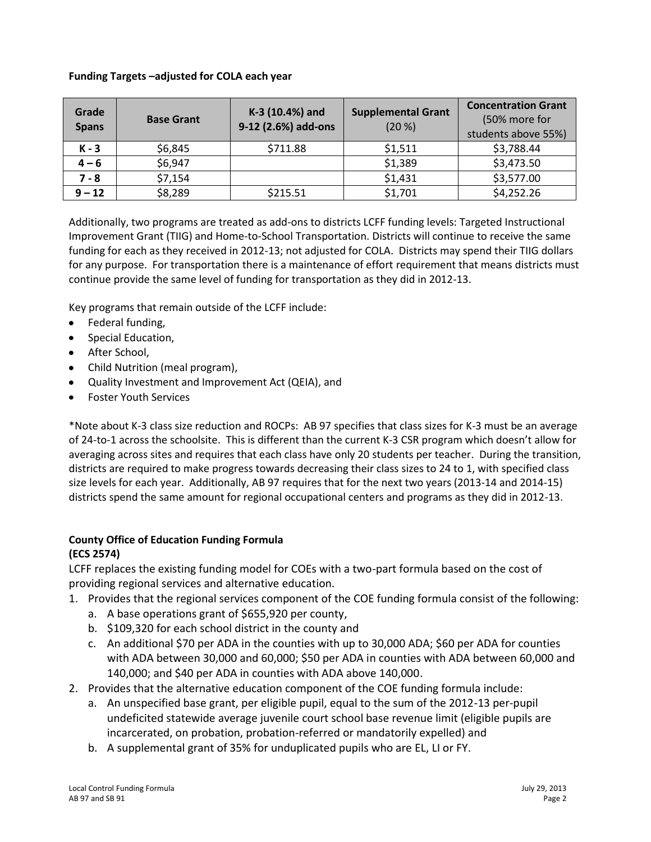#### **Funding Targets –adjusted for COLA each year**

| Grade<br><b>Spans</b> | <b>Base Grant</b> | K-3 (10.4%) and<br>9-12 (2.6%) add-ons | <b>Supplemental Grant</b><br>(20 %) | <b>Concentration Grant</b><br>(50% more for<br>students above 55%) |
|-----------------------|-------------------|----------------------------------------|-------------------------------------|--------------------------------------------------------------------|
| $K - 3$               | \$6,845           | \$711.88                               | \$1,511                             | \$3,788.44                                                         |
| $4 - 6$               | \$6,947           |                                        | \$1,389                             | \$3,473.50                                                         |
| $7 - 8$               | \$7,154           |                                        | \$1,431                             | \$3,577.00                                                         |
| $9 - 12$              | \$8,289           | \$215.51                               | \$1,701                             | \$4,252.26                                                         |

Additionally, two programs are treated as add-ons to districts LCFF funding levels: Targeted Instructional Improvement Grant (TIIG) and Home-to-School Transportation. Districts will continue to receive the same funding for each as they received in 2012-13; not adjusted for COLA. Districts may spend their TIIG dollars for any purpose. For transportation there is a maintenance of effort requirement that means districts must continue provide the same level of funding for transportation as they did in 2012-13.

Key programs that remain outside of the LCFF include:

- Federal funding,  $\bullet$
- Special Education,
- After School,  $\bullet$
- Child Nutrition (meal program),
- Quality Investment and Improvement Act (QEIA), and  $\bullet$
- Foster Youth Services  $\bullet$

\*Note about K-3 class size reduction and ROCPs: AB 97 specifies that class sizes for K-3 must be an average of 24-to-1 across the schoolsite. This is different than the current K-3 CSR program which doesn't allow for averaging across sites and requires that each class have only 20 students per teacher. During the transition, districts are required to make progress towards decreasing their class sizes to 24 to 1, with specified class size levels for each year. Additionally, AB 97 requires that for the next two years (2013-14 and 2014-15) districts spend the same amount for regional occupational centers and programs as they did in 2012-13.

#### **County Office of Education Funding Formula (ECS 2574)**

LCFF replaces the existing funding model for COEs with a two-part formula based on the cost of providing regional services and alternative education.

- 1. Provides that the regional services component of the COE funding formula consist of the following:
	- a. A base operations grant of \$655,920 per county,
	- b. \$109,320 for each school district in the county and
	- c. An additional \$70 per ADA in the counties with up to 30,000 ADA; \$60 per ADA for counties with ADA between 30,000 and 60,000; \$50 per ADA in counties with ADA between 60,000 and 140,000; and \$40 per ADA in counties with ADA above 140,000.
- 2. Provides that the alternative education component of the COE funding formula include:
	- a. An unspecified base grant, per eligible pupil, equal to the sum of the 2012-13 per-pupil undeficited statewide average juvenile court school base revenue limit (eligible pupils are incarcerated, on probation, probation-referred or mandatorily expelled) and
	- b. A supplemental grant of 35% for unduplicated pupils who are EL, LI or FY.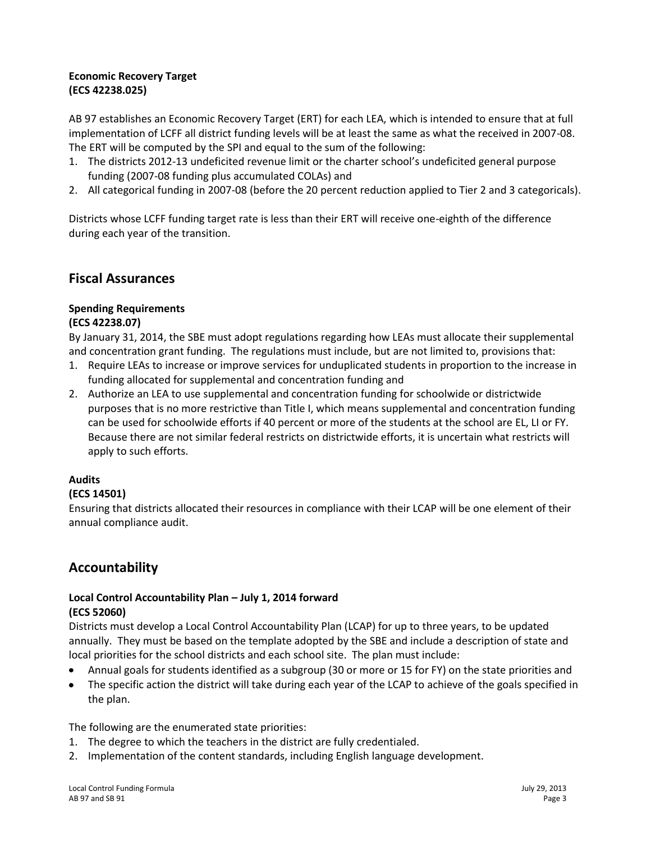#### **Economic Recovery Target (ECS 42238.025)**

AB 97 establishes an Economic Recovery Target (ERT) for each LEA, which is intended to ensure that at full implementation of LCFF all district funding levels will be at least the same as what the received in 2007-08. The ERT will be computed by the SPI and equal to the sum of the following:

- 1. The districts 2012-13 undeficited revenue limit or the charter school's undeficited general purpose funding (2007-08 funding plus accumulated COLAs) and
- 2. All categorical funding in 2007-08 (before the 20 percent reduction applied to Tier 2 and 3 categoricals).

Districts whose LCFF funding target rate is less than their ERT will receive one-eighth of the difference during each year of the transition.

# **Fiscal Assurances**

# **Spending Requirements**

#### **(ECS 42238.07)**

By January 31, 2014, the SBE must adopt regulations regarding how LEAs must allocate their supplemental and concentration grant funding. The regulations must include, but are not limited to, provisions that:

- 1. Require LEAs to increase or improve services for unduplicated students in proportion to the increase in funding allocated for supplemental and concentration funding and
- 2. Authorize an LEA to use supplemental and concentration funding for schoolwide or districtwide purposes that is no more restrictive than Title I, which means supplemental and concentration funding can be used for schoolwide efforts if 40 percent or more of the students at the school are EL, LI or FY. Because there are not similar federal restricts on districtwide efforts, it is uncertain what restricts will apply to such efforts.

### **Audits**

### **(ECS 14501)**

Ensuring that districts allocated their resources in compliance with their LCAP will be one element of their annual compliance audit.

# **Accountability**

#### **Local Control Accountability Plan – July 1, 2014 forward (ECS 52060)**

Districts must develop a Local Control Accountability Plan (LCAP) for up to three years, to be updated annually. They must be based on the template adopted by the SBE and include a description of state and local priorities for the school districts and each school site. The plan must include:

- Annual goals for students identified as a subgroup (30 or more or 15 for FY) on the state priorities and  $\bullet$
- The specific action the district will take during each year of the LCAP to achieve of the goals specified in  $\bullet$ the plan.

The following are the enumerated state priorities:

- 1. The degree to which the teachers in the district are fully credentialed.
- 2. Implementation of the content standards, including English language development.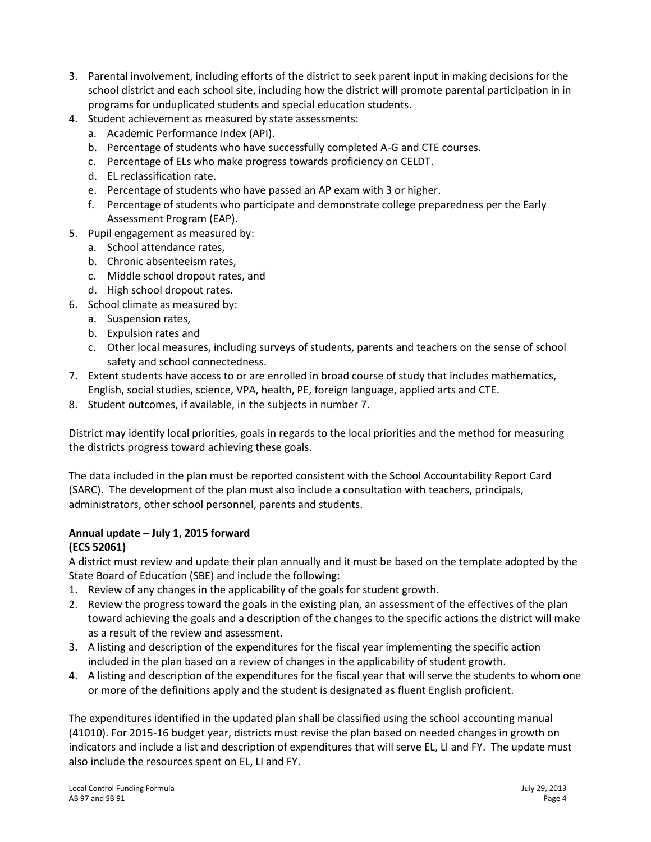- 3. Parental involvement, including efforts of the district to seek parent input in making decisions for the school district and each school site, including how the district will promote parental participation in in programs for unduplicated students and special education students.
- 4. Student achievement as measured by state assessments:
	- a. Academic Performance Index (API).
	- b. Percentage of students who have successfully completed A-G and CTE courses.
	- c. Percentage of ELs who make progress towards proficiency on CELDT.
	- d. EL reclassification rate.
	- e. Percentage of students who have passed an AP exam with 3 or higher.
	- f. Percentage of students who participate and demonstrate college preparedness per the Early Assessment Program (EAP).
- 5. Pupil engagement as measured by:
	- a. School attendance rates,
	- b. Chronic absenteeism rates,
	- c. Middle school dropout rates, and
	- d. High school dropout rates.
- 6. School climate as measured by:
	- a. Suspension rates,
	- b. Expulsion rates and
	- c. Other local measures, including surveys of students, parents and teachers on the sense of school safety and school connectedness.
- 7. Extent students have access to or are enrolled in broad course of study that includes mathematics, English, social studies, science, VPA, health, PE, foreign language, applied arts and CTE.
- 8. Student outcomes, if available, in the subjects in number 7.

District may identify local priorities, goals in regards to the local priorities and the method for measuring the districts progress toward achieving these goals.

The data included in the plan must be reported consistent with the School Accountability Report Card (SARC). The development of the plan must also include a consultation with teachers, principals, administrators, other school personnel, parents and students.

# **Annual update – July 1, 2015 forward**

#### **(ECS 52061)**

A district must review and update their plan annually and it must be based on the template adopted by the State Board of Education (SBE) and include the following:

- 1. Review of any changes in the applicability of the goals for student growth.
- 2. Review the progress toward the goals in the existing plan, an assessment of the effectives of the plan toward achieving the goals and a description of the changes to the specific actions the district will make as a result of the review and assessment.
- 3. A listing and description of the expenditures for the fiscal year implementing the specific action included in the plan based on a review of changes in the applicability of student growth.
- 4. A listing and description of the expenditures for the fiscal year that will serve the students to whom one or more of the definitions apply and the student is designated as fluent English proficient.

The expenditures identified in the updated plan shall be classified using the school accounting manual (41010). For 2015-16 budget year, districts must revise the plan based on needed changes in growth on indicators and include a list and description of expenditures that will serve EL, LI and FY. The update must also include the resources spent on EL, LI and FY.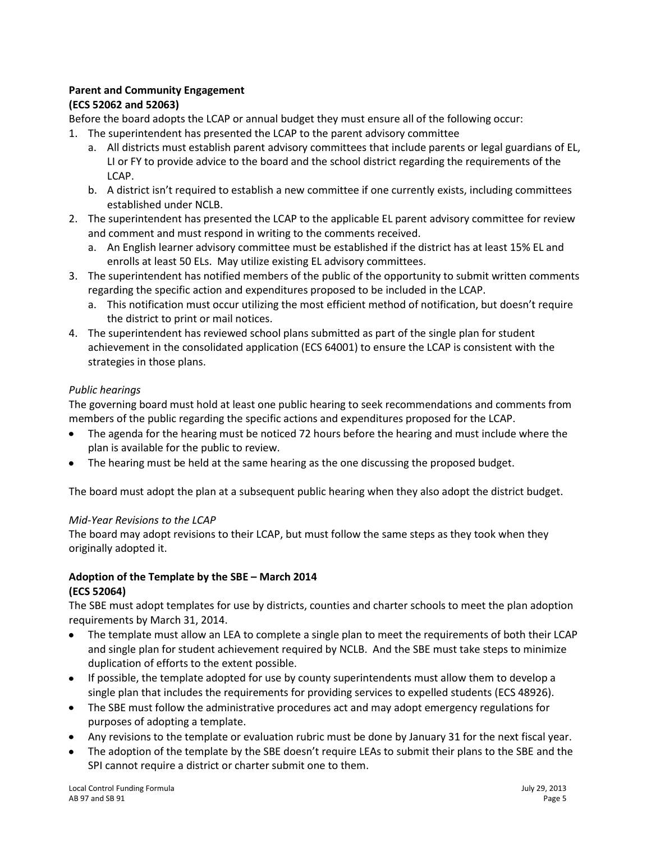#### **Parent and Community Engagement (ECS 52062 and 52063)**

Before the board adopts the LCAP or annual budget they must ensure all of the following occur:

- 1. The superintendent has presented the LCAP to the parent advisory committee
	- a. All districts must establish parent advisory committees that include parents or legal guardians of EL, LI or FY to provide advice to the board and the school district regarding the requirements of the LCAP.
	- b. A district isn't required to establish a new committee if one currently exists, including committees established under NCLB.
- 2. The superintendent has presented the LCAP to the applicable EL parent advisory committee for review and comment and must respond in writing to the comments received.
	- a. An English learner advisory committee must be established if the district has at least 15% EL and enrolls at least 50 ELs. May utilize existing EL advisory committees.
- 3. The superintendent has notified members of the public of the opportunity to submit written comments regarding the specific action and expenditures proposed to be included in the LCAP.
	- a. This notification must occur utilizing the most efficient method of notification, but doesn't require the district to print or mail notices.
- 4. The superintendent has reviewed school plans submitted as part of the single plan for student achievement in the consolidated application (ECS 64001) to ensure the LCAP is consistent with the strategies in those plans.

## *Public hearings*

The governing board must hold at least one public hearing to seek recommendations and comments from members of the public regarding the specific actions and expenditures proposed for the LCAP.

- The agenda for the hearing must be noticed 72 hours before the hearing and must include where the  $\bullet$ plan is available for the public to review.
- The hearing must be held at the same hearing as the one discussing the proposed budget.

The board must adopt the plan at a subsequent public hearing when they also adopt the district budget.

### *Mid-Year Revisions to the LCAP*

The board may adopt revisions to their LCAP, but must follow the same steps as they took when they originally adopted it.

## **Adoption of the Template by the SBE – March 2014 (ECS 52064)**

The SBE must adopt templates for use by districts, counties and charter schools to meet the plan adoption requirements by March 31, 2014.

- The template must allow an LEA to complete a single plan to meet the requirements of both their LCAP  $\bullet$ and single plan for student achievement required by NCLB. And the SBE must take steps to minimize duplication of efforts to the extent possible.
- If possible, the template adopted for use by county superintendents must allow them to develop a single plan that includes the requirements for providing services to expelled students (ECS 48926).
- The SBE must follow the administrative procedures act and may adopt emergency regulations for  $\bullet$ purposes of adopting a template.
- Any revisions to the template or evaluation rubric must be done by January 31 for the next fiscal year.
- The adoption of the template by the SBE doesn't require LEAs to submit their plans to the SBE and the SPI cannot require a district or charter submit one to them.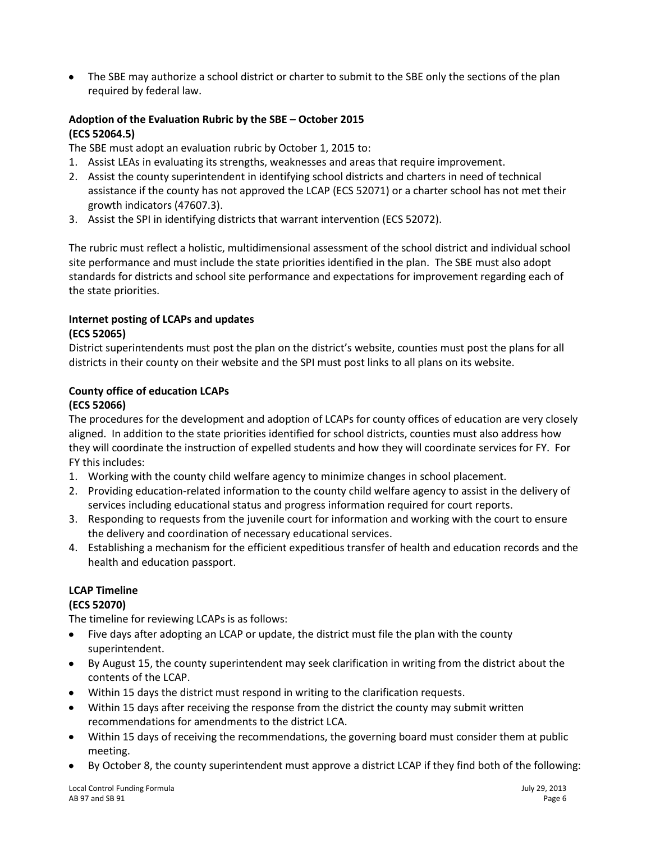The SBE may authorize a school district or charter to submit to the SBE only the sections of the plan required by federal law.

## **Adoption of the Evaluation Rubric by the SBE – October 2015 (ECS 52064.5)**

The SBE must adopt an evaluation rubric by October 1, 2015 to:

- 1. Assist LEAs in evaluating its strengths, weaknesses and areas that require improvement.
- 2. Assist the county superintendent in identifying school districts and charters in need of technical assistance if the county has not approved the LCAP (ECS 52071) or a charter school has not met their growth indicators (47607.3).
- 3. Assist the SPI in identifying districts that warrant intervention (ECS 52072).

The rubric must reflect a holistic, multidimensional assessment of the school district and individual school site performance and must include the state priorities identified in the plan. The SBE must also adopt standards for districts and school site performance and expectations for improvement regarding each of the state priorities.

#### **Internet posting of LCAPs and updates (ECS 52065)**

District superintendents must post the plan on the district's website, counties must post the plans for all districts in their county on their website and the SPI must post links to all plans on its website.

# **County office of education LCAPs**

### **(ECS 52066)**

The procedures for the development and adoption of LCAPs for county offices of education are very closely aligned. In addition to the state priorities identified for school districts, counties must also address how they will coordinate the instruction of expelled students and how they will coordinate services for FY. For FY this includes:

- 1. Working with the county child welfare agency to minimize changes in school placement.
- 2. Providing education-related information to the county child welfare agency to assist in the delivery of services including educational status and progress information required for court reports.
- 3. Responding to requests from the juvenile court for information and working with the court to ensure the delivery and coordination of necessary educational services.
- 4. Establishing a mechanism for the efficient expeditious transfer of health and education records and the health and education passport.

# **LCAP Timeline**

### **(ECS 52070)**

The timeline for reviewing LCAPs is as follows:

- Five days after adopting an LCAP or update, the district must file the plan with the county  $\bullet$ superintendent.
- By August 15, the county superintendent may seek clarification in writing from the district about the  $\bullet$ contents of the LCAP.
- Within 15 days the district must respond in writing to the clarification requests.
- Within 15 days after receiving the response from the district the county may submit written recommendations for amendments to the district LCA.
- Within 15 days of receiving the recommendations, the governing board must consider them at public  $\bullet$ meeting.
- By October 8, the county superintendent must approve a district LCAP if they find both of the following: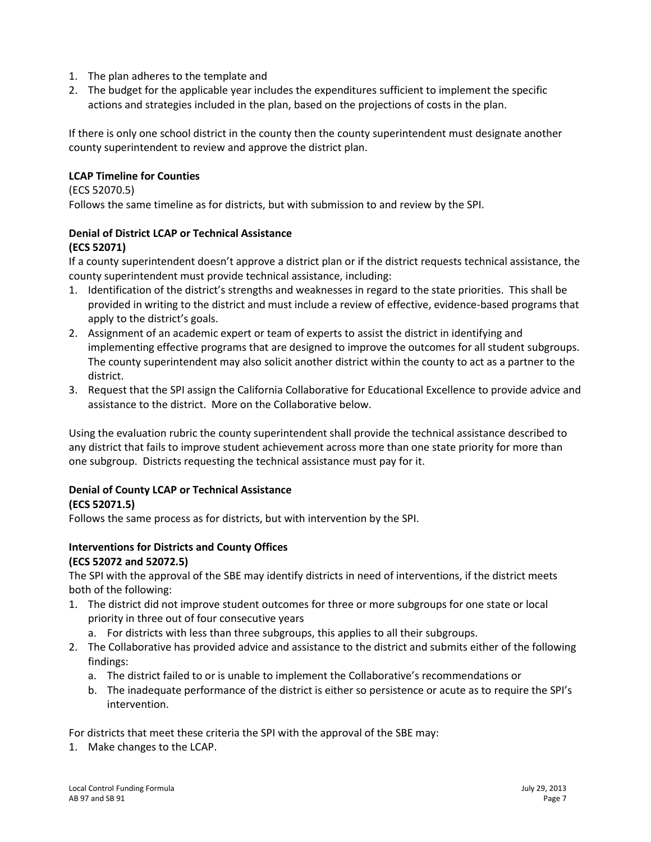- 1. The plan adheres to the template and
- 2. The budget for the applicable year includes the expenditures sufficient to implement the specific actions and strategies included in the plan, based on the projections of costs in the plan.

If there is only one school district in the county then the county superintendent must designate another county superintendent to review and approve the district plan.

#### **LCAP Timeline for Counties**

(ECS 52070.5)

Follows the same timeline as for districts, but with submission to and review by the SPI.

# **Denial of District LCAP or Technical Assistance**

#### **(ECS 52071)**

If a county superintendent doesn't approve a district plan or if the district requests technical assistance, the county superintendent must provide technical assistance, including:

- 1. Identification of the district's strengths and weaknesses in regard to the state priorities. This shall be provided in writing to the district and must include a review of effective, evidence-based programs that apply to the district's goals.
- 2. Assignment of an academic expert or team of experts to assist the district in identifying and implementing effective programs that are designed to improve the outcomes for all student subgroups. The county superintendent may also solicit another district within the county to act as a partner to the district.
- 3. Request that the SPI assign the California Collaborative for Educational Excellence to provide advice and assistance to the district. More on the Collaborative below.

Using the evaluation rubric the county superintendent shall provide the technical assistance described to any district that fails to improve student achievement across more than one state priority for more than one subgroup. Districts requesting the technical assistance must pay for it.

### **Denial of County LCAP or Technical Assistance**

### **(ECS 52071.5)**

Follows the same process as for districts, but with intervention by the SPI.

#### **Interventions for Districts and County Offices (ECS 52072 and 52072.5)**

The SPI with the approval of the SBE may identify districts in need of interventions, if the district meets both of the following:

- 1. The district did not improve student outcomes for three or more subgroups for one state or local priority in three out of four consecutive years
	- a. For districts with less than three subgroups, this applies to all their subgroups.
- 2. The Collaborative has provided advice and assistance to the district and submits either of the following findings:
	- a. The district failed to or is unable to implement the Collaborative's recommendations or
	- b. The inadequate performance of the district is either so persistence or acute as to require the SPI's intervention.

For districts that meet these criteria the SPI with the approval of the SBE may:

1. Make changes to the LCAP.